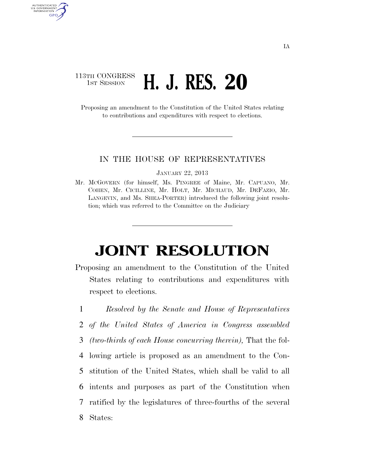## 113TH CONGRESS **1st Session H. J. RES. 20**

AUTHENTICATED<br>U.S. GOVERNMENT<br>INFORMATION GPO

> Proposing an amendment to the Constitution of the United States relating to contributions and expenditures with respect to elections.

## IN THE HOUSE OF REPRESENTATIVES

JANUARY 22, 2013

Mr. MCGOVERN (for himself, Ms. PINGREE of Maine, Mr. CAPUANO, Mr. COHEN, Mr. CICILLINE, Mr. HOLT, Mr. MICHAUD, Mr. DEFAZIO, Mr. LANGEVIN, and Ms. SHEA-PORTER) introduced the following joint resolution; which was referred to the Committee on the Judiciary

## **JOINT RESOLUTION**

Proposing an amendment to the Constitution of the United States relating to contributions and expenditures with respect to elections.

 *Resolved by the Senate and House of Representatives of the United States of America in Congress assembled (two-thirds of each House concurring therein),* That the fol- lowing article is proposed as an amendment to the Con- stitution of the United States, which shall be valid to all intents and purposes as part of the Constitution when ratified by the legislatures of three-fourths of the several 8 States: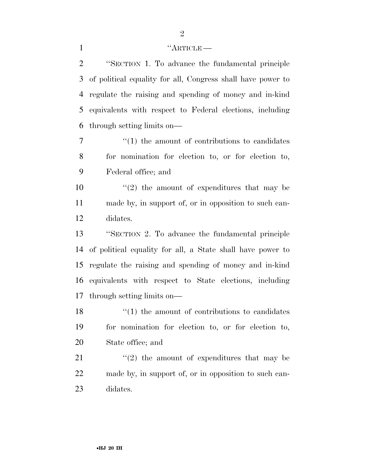## 1 ''ARTICLE

 ''SECTION 1. To advance the fundamental principle of political equality for all, Congress shall have power to regulate the raising and spending of money and in-kind equivalents with respect to Federal elections, including through setting limits on—

7  $\frac{1}{1}$  the amount of contributions to candidates for nomination for election to, or for election to, Federal office; and

10  $\frac{1}{2}$  the amount of expenditures that may be made by, in support of, or in opposition to such can-didates.

 ''SECTION 2. To advance the fundamental principle of political equality for all, a State shall have power to regulate the raising and spending of money and in-kind equivalents with respect to State elections, including through setting limits on—

 $\mathbf{18}$  ''(1) the amount of contributions to candidates for nomination for election to, or for election to, State office; and

21  $\langle \cdot (2) \rangle$  the amount of expenditures that may be made by, in support of, or in opposition to such can-didates.